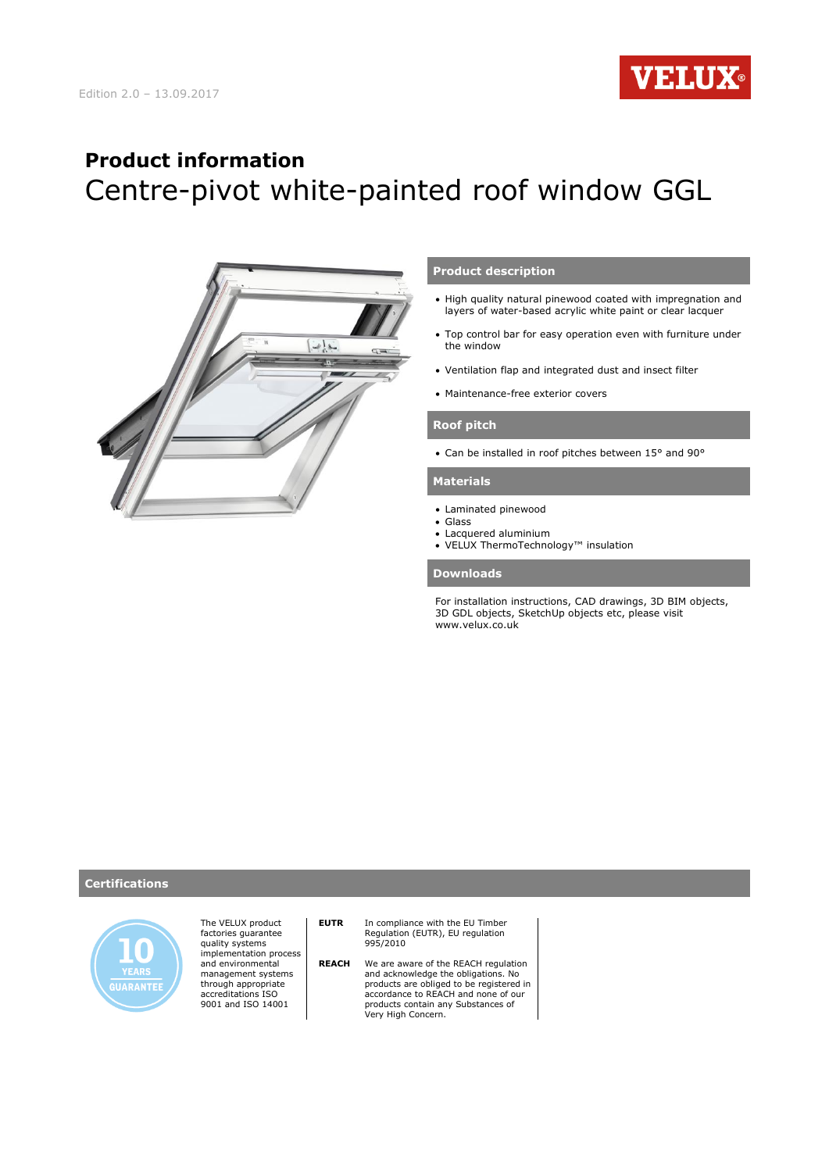

# **Product information** Centre-pivot white-painted roof window GGL



## **Product description**

- High quality natural pinewood coated with impregnation and layers of water-based acrylic white paint or clear lacquer
- Top control bar for easy operation even with furniture under the window
- Ventilation flap and integrated dust and insect filter
- Maintenance-free exterior covers

### **Roof pitch**

Can be installed in roof pitches between 15° and 90°

### **Materials**

- Laminated pinewood
- Glass
- Lacquered aluminium VELUX ThermoTechnology™ insulation

### **Downloads**

For installation instructions, CAD drawings, 3D BIM objects, 3D GDL objects, SketchUp objects etc, please visit www.velux.co.uk

### **Certifications**



The VELUX product factories guarantee quality systems implementation process and environmental management systems through appropriate accreditations ISO 9001 and ISO 14001

**EUTR** In compliance with the EU Timber Regulation (EUTR), EU regulation 995/2010

 **REACH** We are aware of the REACH regulation and acknowledge the obligations. No products are obliged to be registered in accordance to REACH and none of our products contain any Substances of Very High Concern.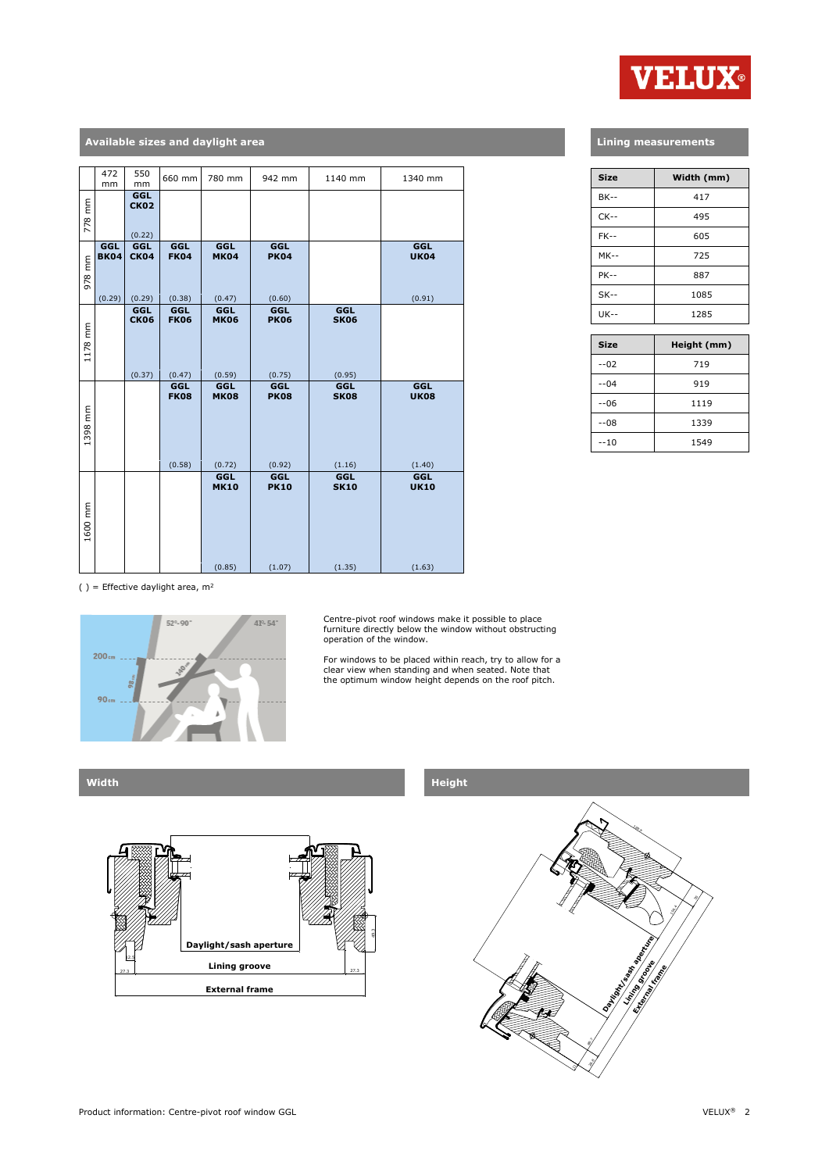

## **Available sizes and daylight area**

|         | 472<br>mm                    | 550<br>mm                    | 660 mm                       | 780 mm                              | 942 mm                              | 1140 mm                      | 1340 mm                      |
|---------|------------------------------|------------------------------|------------------------------|-------------------------------------|-------------------------------------|------------------------------|------------------------------|
| 778 mm  |                              | GGL<br><b>CK02</b><br>(0.22) |                              |                                     |                                     |                              |                              |
| 978 mm  | GGL<br><b>BK04</b><br>(0.29) | GGL<br><b>CK04</b><br>(0.29) | GGL<br><b>FK04</b><br>(0.38) | <b>GGL</b><br><b>MK04</b><br>(0.47) | <b>GGL</b><br><b>PK04</b><br>(0.60) |                              | GGL<br><b>UK04</b><br>(0.91) |
| 1178 mm |                              | GGL<br><b>CK06</b><br>(0.37) | GGL<br><b>FK06</b><br>(0.47) | <b>GGL</b><br><b>MK06</b><br>(0.59) | GGL<br><b>PK06</b><br>(0.75)        | GGL<br><b>SK06</b><br>(0.95) |                              |
| 1398 mm |                              |                              | GGL<br><b>FK08</b><br>(0.58) | <b>GGL</b><br><b>MK08</b><br>(0.72) | <b>GGL</b><br><b>PK08</b><br>(0.92) | GGL<br><b>SK08</b><br>(1.16) | GGL<br><b>UK08</b><br>(1.40) |
| 1600 mm |                              |                              |                              | <b>GGL</b><br><b>MK10</b><br>(0.85) | GGL<br><b>PK10</b><br>(1.07)        | GGL<br><b>SK10</b><br>(1.35) | GGL<br><b>UK10</b><br>(1.63) |

## **Lining measurements**

| <b>Size</b> | Width (mm) |  |  |
|-------------|------------|--|--|
| <b>BK--</b> | 417        |  |  |
| $CK - -$    | 495        |  |  |
| $FK-$       | 605        |  |  |
| $MK--$      | 725        |  |  |
| $PK--$      | 887        |  |  |
| $SK--$      | 1085       |  |  |
| $UK - -$    | 1285       |  |  |

| <b>Size</b> | Height (mm) |  |  |
|-------------|-------------|--|--|
| $-02$       | 719         |  |  |
| --04        | 919         |  |  |
| $-06$       | 1119        |  |  |
| $-08$       | 1339        |  |  |
| $-10$       | 1549        |  |  |

( ) = Effective daylight area,  $m^2$ 



Centre-pivot roof windows make it possible to place furniture directly below the window without obstructing operation of the window.

For windows to be placed within reach, try to allow for a clear view when standing and when seated. Note that the optimum window height depends on the roof pitch.



## **Width Height**

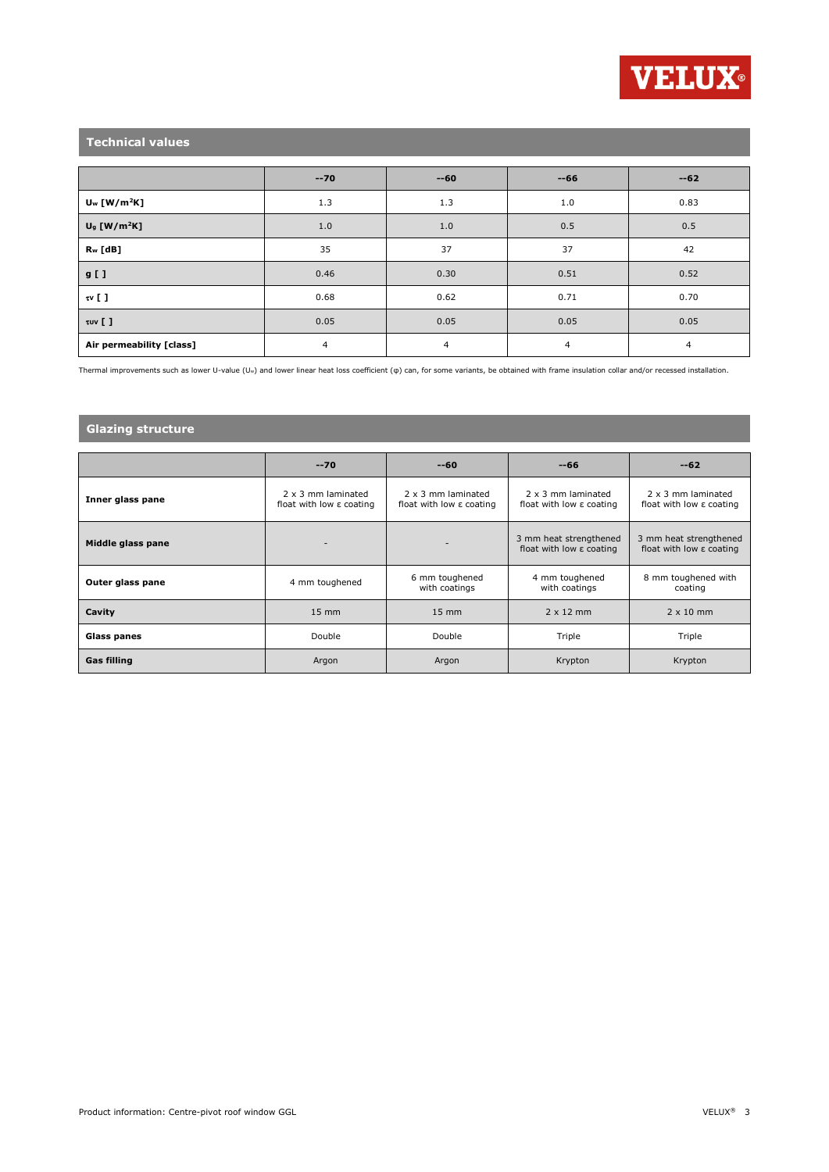

## **Technical values**

|                            | $-70$ | $-60$ | $-66$          | $-62$ |
|----------------------------|-------|-------|----------------|-------|
| $U_w$ [W/m <sup>2</sup> K] | 1.3   | 1.3   | 1.0            | 0.83  |
| $U9$ [W/m <sup>2</sup> K]  | 1.0   | 1.0   | 0.5            | 0.5   |
| $R_w$ [dB]                 | 35    | 37    | 37             | 42    |
| g [ ]                      | 0.46  | 0.30  | 0.51           | 0.52  |
| $\mathfrak{w}$ [ ]         | 0.68  | 0.62  | 0.71           | 0.70  |
| τυν [ ]                    | 0.05  | 0.05  | 0.05           | 0.05  |
| Air permeability [class]   | 4     | 4     | $\overline{4}$ | 4     |

Thermal improvements such as lower U-value (Uw) and lower linear heat loss coefficient (φ) can, for some variants, be obtained with frame insulation collar and/or recessed installation.

## **Glazing structure**

|                    | $-70$                                                      | $-60$                                                      | --66                                                           | $-62$                                                          |
|--------------------|------------------------------------------------------------|------------------------------------------------------------|----------------------------------------------------------------|----------------------------------------------------------------|
| Inner glass pane   | 2 x 3 mm laminated<br>float with low $\varepsilon$ coating | 2 x 3 mm laminated<br>float with low $\varepsilon$ coating | 2 x 3 mm laminated<br>float with low $\varepsilon$ coating     | 2 x 3 mm laminated<br>float with low $\varepsilon$ coating     |
| Middle glass pane  |                                                            |                                                            | 3 mm heat strengthened<br>float with low $\varepsilon$ coating | 3 mm heat strengthened<br>float with low $\varepsilon$ coating |
| Outer glass pane   | 4 mm toughened                                             | 6 mm toughened<br>with coatings                            | 4 mm toughened<br>with coatings                                | 8 mm toughened with<br>coating                                 |
| Cavity             | $15 \text{ mm}$                                            | $15 \text{ mm}$                                            | $2 \times 12$ mm                                               | $2 \times 10$ mm                                               |
| <b>Glass panes</b> | Double                                                     | Double                                                     | Triple                                                         | Triple                                                         |
| <b>Gas filling</b> | Argon                                                      | Argon                                                      | Krypton                                                        | Krypton                                                        |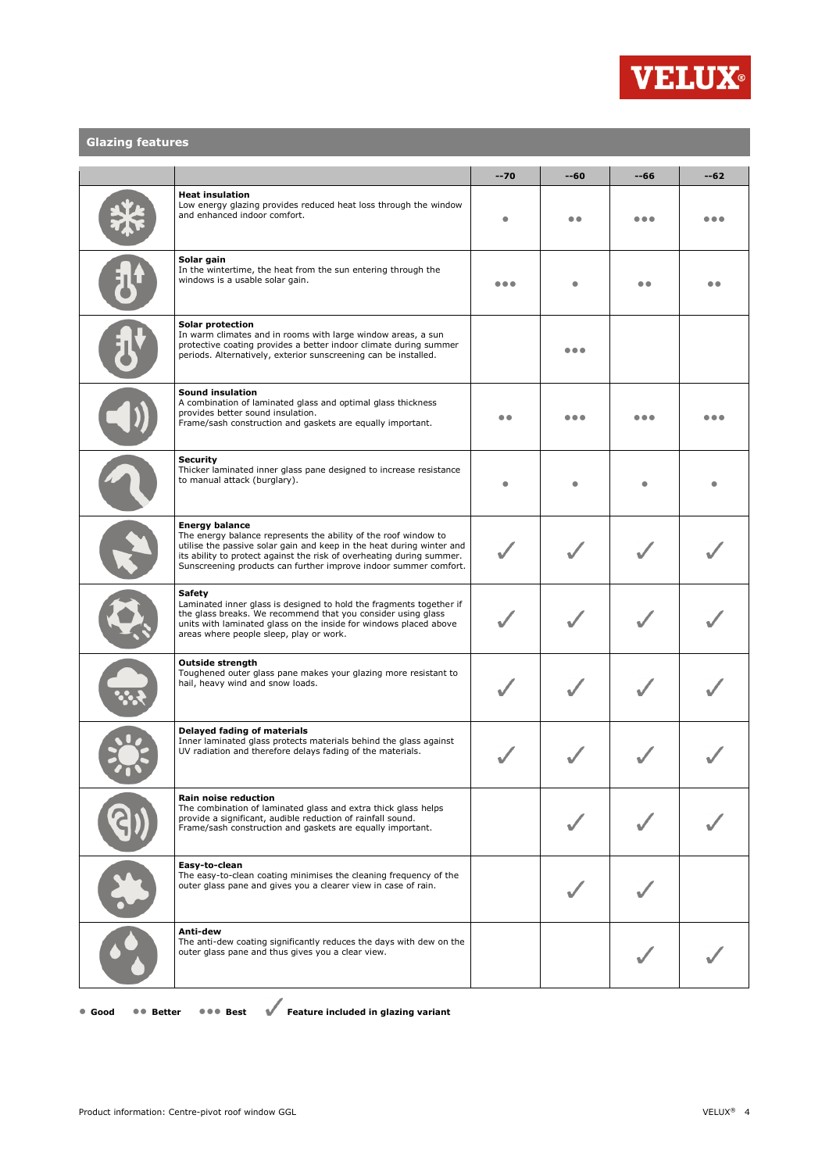

## **Glazing features**

|                                                                                                                                                                                                                                                               |                                                                                                                                                                                                                                                                                                                | $-70$ | --60 | $-66$ | $-62$ |
|---------------------------------------------------------------------------------------------------------------------------------------------------------------------------------------------------------------------------------------------------------------|----------------------------------------------------------------------------------------------------------------------------------------------------------------------------------------------------------------------------------------------------------------------------------------------------------------|-------|------|-------|-------|
|                                                                                                                                                                                                                                                               | <b>Heat insulation</b><br>Low energy glazing provides reduced heat loss through the window<br>and enhanced indoor comfort.                                                                                                                                                                                     |       | . .  |       |       |
| Solar gain<br>In the wintertime, the heat from the sun entering through the<br>windows is a usable solar gain.                                                                                                                                                |                                                                                                                                                                                                                                                                                                                |       |      |       |       |
|                                                                                                                                                                                                                                                               | Solar protection<br>In warm climates and in rooms with large window areas, a sun<br>protective coating provides a better indoor climate during summer<br>periods. Alternatively, exterior sunscreening can be installed.                                                                                       |       |      |       |       |
|                                                                                                                                                                                                                                                               | <b>Sound insulation</b><br>A combination of laminated glass and optimal glass thickness<br>provides better sound insulation.<br>Frame/sash construction and gaskets are equally important.                                                                                                                     | . .   |      |       |       |
| <b>Security</b><br>Thicker laminated inner glass pane designed to increase resistance<br>to manual attack (burglary).                                                                                                                                         |                                                                                                                                                                                                                                                                                                                |       |      |       |       |
|                                                                                                                                                                                                                                                               | <b>Energy balance</b><br>The energy balance represents the ability of the roof window to<br>utilise the passive solar gain and keep in the heat during winter and<br>its ability to protect against the risk of overheating during summer.<br>Sunscreening products can further improve indoor summer comfort. |       |      |       |       |
| Safety<br>Laminated inner glass is designed to hold the fragments together if<br>the glass breaks. We recommend that you consider using glass<br>units with laminated glass on the inside for windows placed above<br>areas where people sleep, play or work. |                                                                                                                                                                                                                                                                                                                |       |      |       |       |
|                                                                                                                                                                                                                                                               | <b>Outside strength</b><br>Toughened outer glass pane makes your glazing more resistant to<br>hail, heavy wind and snow loads.                                                                                                                                                                                 |       |      |       |       |
|                                                                                                                                                                                                                                                               | Delayed fading of materials<br>Inner laminated glass protects materials behind the glass against<br>UV radiation and therefore delays fading of the materials.                                                                                                                                                 |       |      |       |       |
|                                                                                                                                                                                                                                                               | Rain noise reduction<br>The combination of laminated glass and extra thick glass helps<br>provide a significant, audible reduction of rainfall sound.<br>Frame/sash construction and gaskets are equally important.                                                                                            |       |      |       |       |
|                                                                                                                                                                                                                                                               | Easy-to-clean<br>The easy-to-clean coating minimises the cleaning frequency of the<br>outer glass pane and gives you a clearer view in case of rain.                                                                                                                                                           |       |      |       |       |
|                                                                                                                                                                                                                                                               | Anti-dew<br>The anti-dew coating significantly reduces the days with dew on the<br>outer glass pane and thus gives you a clear view.                                                                                                                                                                           |       |      |       |       |

● **Good** ●● **Better** ●●● **Best Feature included in glazing variant**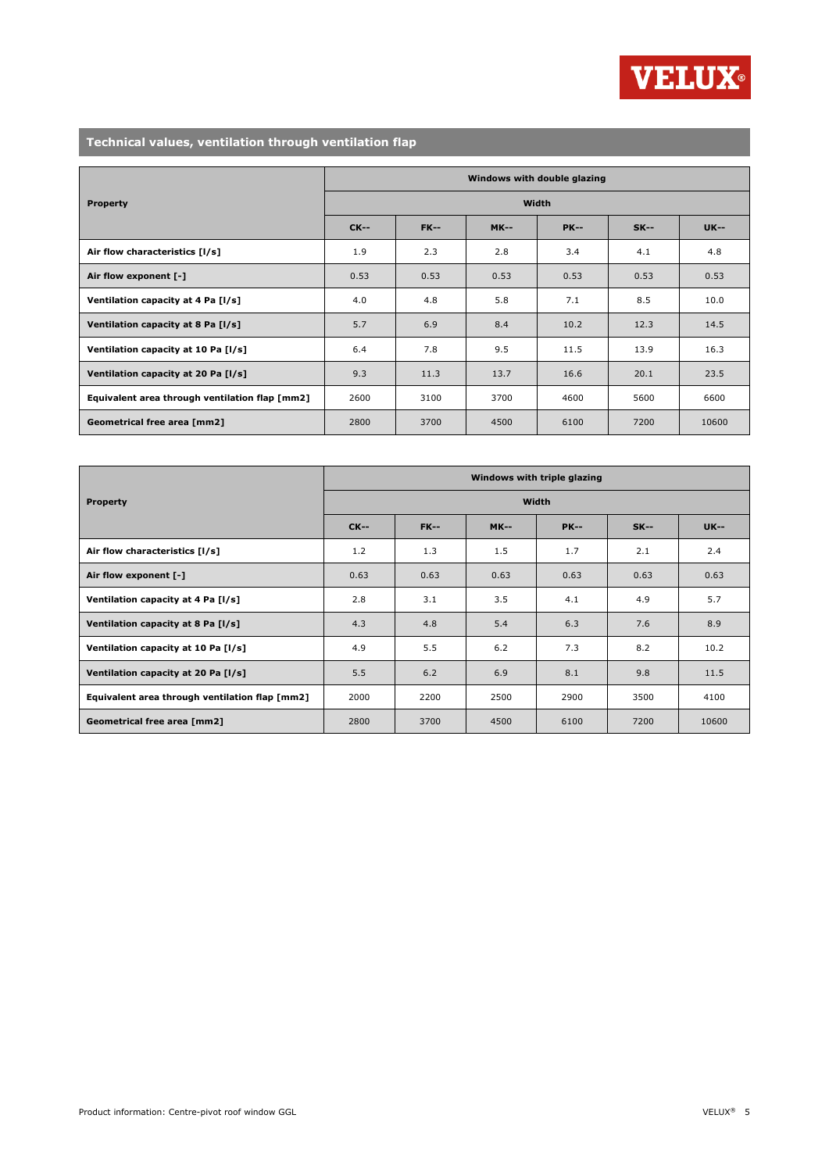

## **Technical values, ventilation through ventilation flap**

|                                                | Windows with double glazing |             |             |             |        |             |  |
|------------------------------------------------|-----------------------------|-------------|-------------|-------------|--------|-------------|--|
| <b>Property</b>                                | Width                       |             |             |             |        |             |  |
|                                                | <b>CK--</b>                 | <b>FK--</b> | <b>MK--</b> | <b>PK--</b> | $SK--$ | <b>UK--</b> |  |
| Air flow characteristics [1/s]                 | 1.9                         | 2.3         | 2.8         | 3.4         | 4.1    | 4.8         |  |
| Air flow exponent [-]                          | 0.53                        | 0.53        | 0.53        | 0.53        | 0.53   | 0.53        |  |
| Ventilation capacity at 4 Pa [I/s]             | 4.0                         | 4.8         | 5.8         | 7.1         | 8.5    | 10.0        |  |
| Ventilation capacity at 8 Pa [I/s]             | 5.7                         | 6.9         | 8.4         | 10.2        | 12.3   | 14.5        |  |
| Ventilation capacity at 10 Pa [I/s]            | 6.4                         | 7.8         | 9.5         | 11.5        | 13.9   | 16.3        |  |
| Ventilation capacity at 20 Pa [I/s]            | 9.3                         | 11.3        | 13.7        | 16.6        | 20.1   | 23.5        |  |
| Equivalent area through ventilation flap [mm2] | 2600                        | 3100        | 3700        | 4600        | 5600   | 6600        |  |
| Geometrical free area [mm2]                    | 2800                        | 3700        | 4500        | 6100        | 7200   | 10600       |  |

|                                                | Windows with triple glazing |             |             |             |        |             |  |
|------------------------------------------------|-----------------------------|-------------|-------------|-------------|--------|-------------|--|
| <b>Property</b>                                | Width                       |             |             |             |        |             |  |
|                                                | $CK--$                      | <b>FK--</b> | <b>MK--</b> | <b>PK--</b> | $SK--$ | <b>UK--</b> |  |
| Air flow characteristics [I/s]                 | 1.2                         | 1.3         | 1.5         | 1.7         | 2.1    | 2.4         |  |
| Air flow exponent [-]                          | 0.63                        | 0.63        | 0.63        | 0.63        | 0.63   | 0.63        |  |
| Ventilation capacity at 4 Pa [I/s]             | 2.8                         | 3.1         | 3.5         | 4.1         | 4.9    | 5.7         |  |
| Ventilation capacity at 8 Pa [I/s]             | 4.3                         | 4.8         | 5.4         | 6.3         | 7.6    | 8.9         |  |
| Ventilation capacity at 10 Pa [I/s]            | 4.9                         | 5.5         | 6.2         | 7.3         | 8.2    | 10.2        |  |
| Ventilation capacity at 20 Pa [I/s]            | 5.5                         | 6.2         | 6.9         | 8.1         | 9.8    | 11.5        |  |
| Equivalent area through ventilation flap [mm2] | 2000                        | 2200        | 2500        | 2900        | 3500   | 4100        |  |
| Geometrical free area [mm2]                    | 2800                        | 3700        | 4500        | 6100        | 7200   | 10600       |  |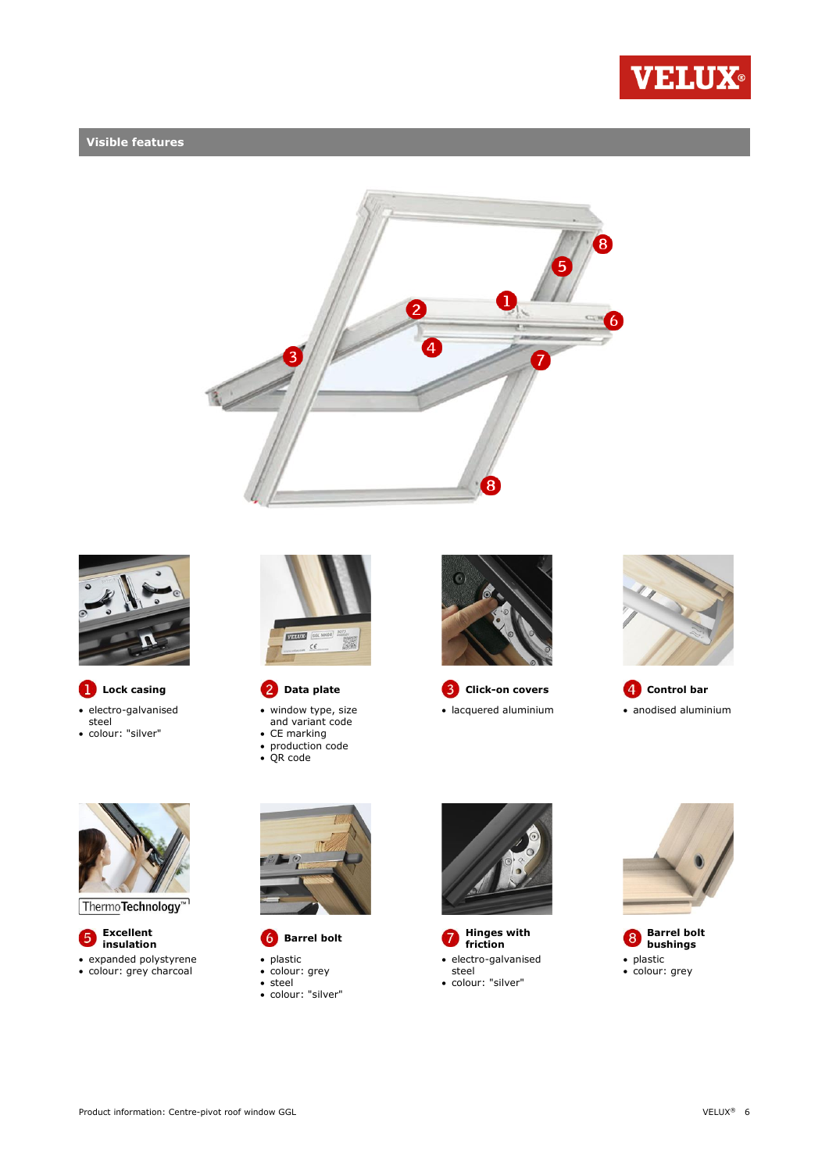

## **Visible features**





- electro-galvanised steel
- colour: "silver"



- window type, size and variant code
- CE marking
- production code QR code



**C** Data plate **C** Click-on covers **C** Control bar







Thermo**Technology**™

**Excellent**<br>**insulation** • expanded polystyrene

colour: grey charcoal



- 
- plastic
- colour: grey steel
- colour: "silver"



**i**nsulation **Barrel bolt C** Hinges with  $\bullet$  **Hinges with insulation**  electro-galvanised steel colour: "silver"



**Barrel bolt bushings** • plastic • colour: grey